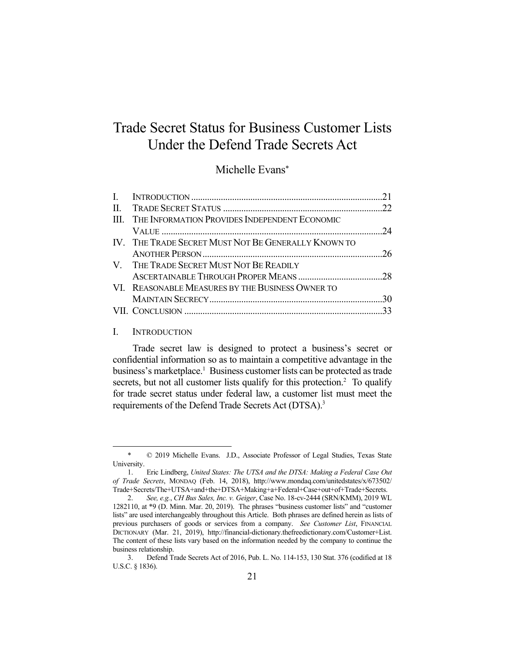# Trade Secret Status for Business Customer Lists Under the Defend Trade Secrets Act

Michelle Evans\*

| III. THE INFORMATION PROVIDES INDEPENDENT ECONOMIC  |  |
|-----------------------------------------------------|--|
|                                                     |  |
| IV. THE TRADE SECRET MUST NOT BE GENERALLY KNOWN TO |  |
|                                                     |  |
| V. THE TRADE SECRET MUST NOT BE READILY             |  |
|                                                     |  |
| VI. REASONABLE MEASURES BY THE BUSINESS OWNER TO    |  |
|                                                     |  |
|                                                     |  |
|                                                     |  |

#### I. INTRODUCTION

1

Trade secret law is designed to protect a business's secret or confidential information so as to maintain a competitive advantage in the business's marketplace.<sup>1</sup> Business customer lists can be protected as trade secrets, but not all customer lists qualify for this protection.<sup>2</sup> To qualify for trade secret status under federal law, a customer list must meet the requirements of the Defend Trade Secrets Act (DTSA).<sup>3</sup>

 <sup>\* © 2019</sup> Michelle Evans. J.D., Associate Professor of Legal Studies, Texas State University.

 <sup>1.</sup> Eric Lindberg, *United States: The UTSA and the DTSA: Making a Federal Case Out of Trade Secrets*, MONDAQ (Feb. 14, 2018), http://www.mondaq.com/unitedstates/x/673502/ Trade+Secrets/The+UTSA+and+the+DTSA+Making+a+Federal+Case+out+of+Trade+Secrets.

 <sup>2.</sup> *See, e.g.*, *CH Bus Sales, Inc. v. Geiger*, Case No. 18-cv-2444 (SRN/KMM), 2019 WL 1282110, at \*9 (D. Minn. Mar. 20, 2019). The phrases "business customer lists" and "customer lists" are used interchangeably throughout this Article. Both phrases are defined herein as lists of previous purchasers of goods or services from a company. *See Customer List*, FINANCIAL DICTIONARY (Mar. 21, 2019), http://financial-dictionary.thefreedictionary.com/Customer+List. The content of these lists vary based on the information needed by the company to continue the business relationship.

 <sup>3.</sup> Defend Trade Secrets Act of 2016, Pub. L. No. 114-153, 130 Stat. 376 (codified at 18 U.S.C. § 1836).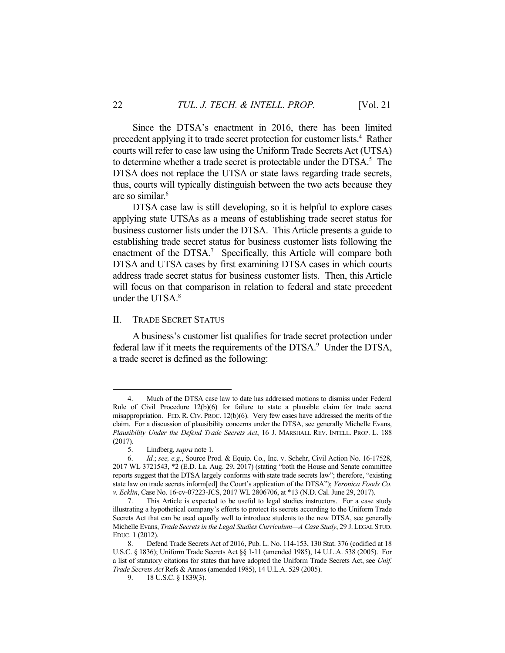Since the DTSA's enactment in 2016, there has been limited precedent applying it to trade secret protection for customer lists.<sup>4</sup> Rather courts will refer to case law using the Uniform Trade Secrets Act (UTSA) to determine whether a trade secret is protectable under the DTSA.<sup>5</sup> The DTSA does not replace the UTSA or state laws regarding trade secrets, thus, courts will typically distinguish between the two acts because they are so similar.6

 DTSA case law is still developing, so it is helpful to explore cases applying state UTSAs as a means of establishing trade secret status for business customer lists under the DTSA. This Article presents a guide to establishing trade secret status for business customer lists following the enactment of the DTSA.<sup>7</sup> Specifically, this Article will compare both DTSA and UTSA cases by first examining DTSA cases in which courts address trade secret status for business customer lists. Then, this Article will focus on that comparison in relation to federal and state precedent under the UTS $A<sup>8</sup>$ 

#### II. TRADE SECRET STATUS

 A business's customer list qualifies for trade secret protection under federal law if it meets the requirements of the DTSA.<sup>9</sup> Under the DTSA, a trade secret is defined as the following:

 <sup>4.</sup> Much of the DTSA case law to date has addressed motions to dismiss under Federal Rule of Civil Procedure  $12(b)(6)$  for failure to state a plausible claim for trade secret misappropriation. FED. R. CIV. PROC. 12(b)(6). Very few cases have addressed the merits of the claim. For a discussion of plausibility concerns under the DTSA, see generally Michelle Evans, *Plausibility Under the Defend Trade Secrets Act*, 16 J. MARSHALL REV. INTELL. PROP. L. 188 (2017).

 <sup>5.</sup> Lindberg, *supra* note 1.

 <sup>6.</sup> *Id.*; *see, e.g.*, Source Prod. & Equip. Co., Inc. v. Schehr, Civil Action No. 16-17528, 2017 WL 3721543, \*2 (E.D. La. Aug. 29, 2017) (stating "both the House and Senate committee reports suggest that the DTSA largely conforms with state trade secrets law"; therefore, "existing state law on trade secrets inform[ed] the Court's application of the DTSA"); *Veronica Foods Co. v. Ecklin*, Case No. 16-cv-07223-JCS, 2017 WL 2806706, at \*13 (N.D. Cal. June 29, 2017).

 <sup>7.</sup> This Article is expected to be useful to legal studies instructors. For a case study illustrating a hypothetical company's efforts to protect its secrets according to the Uniform Trade Secrets Act that can be used equally well to introduce students to the new DTSA, see generally Michelle Evans, *Trade Secrets in the Legal Studies Curriculum—A Case Study*, 29 J.LEGAL STUD. EDUC. 1 (2012).

 <sup>8.</sup> Defend Trade Secrets Act of 2016, Pub. L. No. 114-153, 130 Stat. 376 (codified at 18 U.S.C. § 1836); Uniform Trade Secrets Act §§ 1-11 (amended 1985), 14 U.L.A. 538 (2005). For a list of statutory citations for states that have adopted the Uniform Trade Secrets Act, see *Unif. Trade Secrets Act* Refs & Annos (amended 1985), 14 U.L.A. 529 (2005).

 <sup>9. 18</sup> U.S.C. § 1839(3).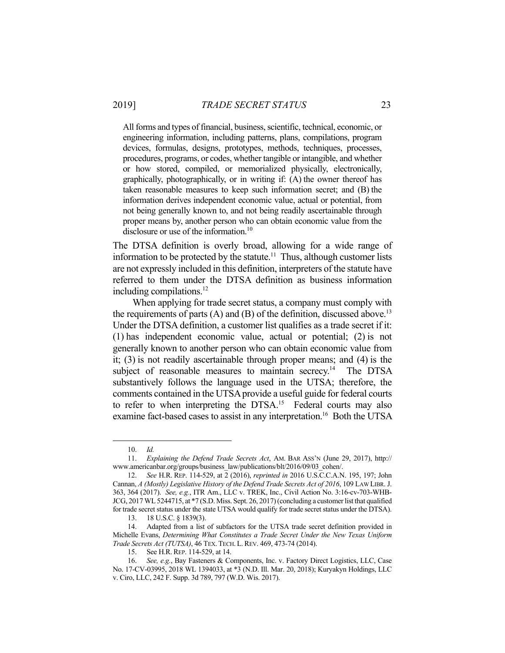All forms and types of financial, business, scientific, technical, economic, or engineering information, including patterns, plans, compilations, program devices, formulas, designs, prototypes, methods, techniques, processes, procedures, programs, or codes, whether tangible or intangible, and whether or how stored, compiled, or memorialized physically, electronically, graphically, photographically, or in writing if: (A) the owner thereof has taken reasonable measures to keep such information secret; and (B) the information derives independent economic value, actual or potential, from not being generally known to, and not being readily ascertainable through proper means by, another person who can obtain economic value from the disclosure or use of the information.<sup>10</sup>

The DTSA definition is overly broad, allowing for a wide range of information to be protected by the statute.<sup>11</sup> Thus, although customer lists are not expressly included in this definition, interpreters of the statute have referred to them under the DTSA definition as business information including compilations.<sup>12</sup>

 When applying for trade secret status, a company must comply with the requirements of parts (A) and (B) of the definition, discussed above.<sup>13</sup> Under the DTSA definition, a customer list qualifies as a trade secret if it: (1) has independent economic value, actual or potential; (2) is not generally known to another person who can obtain economic value from it; (3) is not readily ascertainable through proper means; and (4) is the subject of reasonable measures to maintain secrecy.<sup>14</sup> The DTSA substantively follows the language used in the UTSA; therefore, the comments contained in the UTSA provide a useful guide for federal courts to refer to when interpreting the DTSA.<sup>15</sup> Federal courts may also examine fact-based cases to assist in any interpretation.<sup>16</sup> Both the UTSA

 <sup>10.</sup> *Id.*

 <sup>11.</sup> *Explaining the Defend Trade Secrets Act*, AM. BAR ASS'N (June 29, 2017), http:// www.americanbar.org/groups/business\_law/publications/blt/2016/09/03\_cohen/.

 <sup>12.</sup> *See* H.R. REP. 114-529, at 2 (2016), *reprinted in* 2016 U.S.C.C.A.N. 195, 197; John Cannan, *A (Mostly) Legislative History of the Defend Trade Secrets Act of 2016*, 109 LAW LIBR. J. 363, 364 (2017). *See, e.g.*, ITR Am., LLC v. TREK, Inc., Civil Action No. 3:16-cv-703-WHB-JCG, 2017 WL 5244715, at \*7 (S.D. Miss. Sept. 26, 2017) (concluding a customer list that qualified for trade secret status under the state UTSA would qualify for trade secret status under the DTSA).

 <sup>13. 18</sup> U.S.C. § 1839(3).

 <sup>14.</sup> Adapted from a list of subfactors for the UTSA trade secret definition provided in Michelle Evans, *Determining What Constitutes a Trade Secret Under the New Texas Uniform Trade Secrets Act (TUTSA)*, 46 TEX. TECH. L.REV. 469, 473-74 (2014).

 <sup>15.</sup> See H.R. REP. 114-529, at 14.

 <sup>16.</sup> *See, e.g.*, Bay Fasteners & Components, Inc. v. Factory Direct Logistics, LLC, Case No. 17-CV-03995, 2018 WL 1394033, at \*3 (N.D. Ill. Mar. 20, 2018); Kuryakyn Holdings, LLC v. Ciro, LLC, 242 F. Supp. 3d 789, 797 (W.D. Wis. 2017).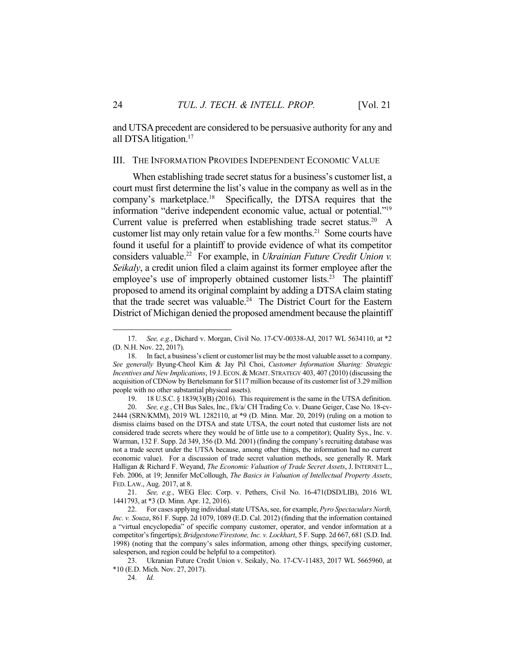and UTSA precedent are considered to be persuasive authority for any and all DTSA litigation.<sup>17</sup>

#### III. THE INFORMATION PROVIDES INDEPENDENT ECONOMIC VALUE

 When establishing trade secret status for a business's customer list, a court must first determine the list's value in the company as well as in the company's marketplace.18 Specifically, the DTSA requires that the information "derive independent economic value, actual or potential."19 Current value is preferred when establishing trade secret status.<sup>20</sup> A customer list may only retain value for a few months.<sup>21</sup> Some courts have found it useful for a plaintiff to provide evidence of what its competitor considers valuable.<sup>22</sup> For example, in *Ukrainian Future Credit Union v. Seikaly*, a credit union filed a claim against its former employee after the employee's use of improperly obtained customer lists.<sup>23</sup> The plaintiff proposed to amend its original complaint by adding a DTSA claim stating that the trade secret was valuable. $24$  The District Court for the Eastern District of Michigan denied the proposed amendment because the plaintiff

 <sup>17.</sup> *See, e.g.*, Dichard v. Morgan, Civil No. 17-CV-00338-AJ, 2017 WL 5634110, at \*2 (D. N.H. Nov. 22, 2017).

 <sup>18.</sup> In fact, a business's client or customer list may be the most valuable asset to a company. *See generally* Byung-Cheol Kim & Jay Pil Choi, *Customer Information Sharing: Strategic Incentives and New Implications*, 19 J.ECON.& MGMT. STRATEGY 403, 407 (2010) (discussing the acquisition of CDNow by Bertelsmann for \$117 million because of its customer list of 3.29 million people with no other substantial physical assets).

 <sup>19. 18</sup> U.S.C. § 1839(3)(B) (2016). This requirement is the same in the UTSA definition.

 <sup>20.</sup> *See, e.g.*, CH Bus Sales, Inc., f/k/a/ CH Trading Co. v. Duane Geiger, Case No. 18-cv-2444 (SRN/KMM), 2019 WL 1282110, at \*9 (D. Minn. Mar. 20, 2019) (ruling on a motion to dismiss claims based on the DTSA and state UTSA, the court noted that customer lists are not considered trade secrets where they would be of little use to a competitor); Quality Sys., Inc. v. Warman, 132 F. Supp. 2d 349, 356 (D. Md. 2001) (finding the company's recruiting database was not a trade secret under the UTSA because, among other things, the information had no current economic value). For a discussion of trade secret valuation methods, see generally R. Mark Halligan & Richard F. Weyand, *The Economic Valuation of Trade Secret Assets*, J. INTERNET L., Feb. 2006, at 19; Jennifer McCollough, *The Basics in Valuation of Intellectual Property Assets*, FED. LAW., Aug. 2017, at 8.

 <sup>21.</sup> *See, e.g.*, WEG Elec. Corp. v. Pethers, Civil No. 16-471(DSD/LIB), 2016 WL 1441793, at \*3 (D. Minn. Apr. 12, 2016).

 <sup>22.</sup> For cases applying individual state UTSAs, see, for example, *Pyro Spectaculars North, Inc. v. Souza*, 861 F. Supp. 2d 1079, 1089 (E.D. Cal. 2012) (finding that the information contained a "virtual encyclopedia" of specific company customer, operator, and vendor information at a competitor's fingertips); *Bridgestone/Firestone, Inc. v. Lockhart*, 5 F. Supp. 2d 667, 681 (S.D. Ind. 1998) (noting that the company's sales information, among other things, specifying customer, salesperson, and region could be helpful to a competitor).

 <sup>23.</sup> Ukranian Future Credit Union v. Seikaly, No. 17-CV-11483, 2017 WL 5665960, at \*10 (E.D. Mich. Nov. 27, 2017).

 <sup>24.</sup> *Id.*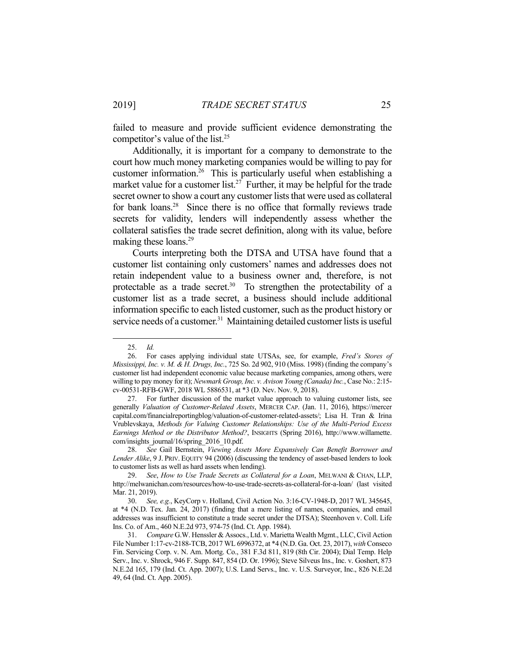failed to measure and provide sufficient evidence demonstrating the competitor's value of the list.<sup>25</sup>

 Additionally, it is important for a company to demonstrate to the court how much money marketing companies would be willing to pay for customer information.26 This is particularly useful when establishing a market value for a customer list.<sup>27</sup> Further, it may be helpful for the trade secret owner to show a court any customer lists that were used as collateral for bank loans.<sup>28</sup> Since there is no office that formally reviews trade secrets for validity, lenders will independently assess whether the collateral satisfies the trade secret definition, along with its value, before making these loans.<sup>29</sup>

 Courts interpreting both the DTSA and UTSA have found that a customer list containing only customers' names and addresses does not retain independent value to a business owner and, therefore, is not protectable as a trade secret.<sup>30</sup> To strengthen the protectability of a customer list as a trade secret, a business should include additional information specific to each listed customer, such as the product history or service needs of a customer.<sup>31</sup> Maintaining detailed customer lists is useful

<u>.</u>

 <sup>25.</sup> *Id.*

 <sup>26.</sup> For cases applying individual state UTSAs, see, for example, *Fred's Stores of Mississippi, Inc. v. M. & H. Drugs, Inc.*, 725 So. 2d 902, 910 (Miss. 1998) (finding the company's customer list had independent economic value because marketing companies, among others, were willing to pay money for it); *Newmark Group, Inc. v. Avison Young (Canada) Inc.*, Case No.: 2:15 cv-00531-RFB-GWF, 2018 WL 5886531, at \*3 (D. Nev. Nov. 9, 2018).

 <sup>27.</sup> For further discussion of the market value approach to valuing customer lists, see generally *Valuation of Customer-Related Assets*, MERCER CAP. (Jan. 11, 2016), https://mercer capital.com/financialreportingblog/valuation-of-customer-related-assets/; Lisa H. Tran & Irina Vrublevskaya, *Methods for Valuing Customer Relationships: Use of the Multi-Period Excess Earnings Method or the Distributor Method?*, INSIGHTS (Spring 2016), http://www.willamette. com/insights\_journal/16/spring\_2016\_10.pdf.

 <sup>28.</sup> *See* Gail Bernstein, *Viewing Assets More Expansively Can Benefit Borrower and Lender Alike*, 9 J. PRIV. EQUITY 94 (2006) (discussing the tendency of asset-based lenders to look to customer lists as well as hard assets when lending).

 <sup>29.</sup> *See*, *How to Use Trade Secrets as Collateral for a Loan*, MELWANI & CHAN, LLP, http://melwanichan.com/resources/how-to-use-trade-secrets-as-collateral-for-a-loan/ (last visited Mar. 21, 2019).

 <sup>30.</sup> *See, e.g.*, KeyCorp v. Holland, Civil Action No. 3:16-CV-1948-D, 2017 WL 345645, at \*4 (N.D. Tex. Jan. 24, 2017) (finding that a mere listing of names, companies, and email addresses was insufficient to constitute a trade secret under the DTSA); Steenhoven v. Coll. Life Ins. Co. of Am., 460 N.E.2d 973, 974-75 (Ind. Ct. App. 1984).

 <sup>31.</sup> *Compare* G.W. Henssler & Assocs., Ltd. v. Marietta Wealth Mgmt., LLC, Civil Action File Number 1:17-cv-2188-TCB, 2017 WL 6996372, at \*4 (N.D. Ga. Oct. 23, 2017), *with* Conseco Fin. Servicing Corp. v. N. Am. Mortg. Co., 381 F.3d 811, 819 (8th Cir. 2004); Dial Temp. Help Serv., Inc. v. Shrock, 946 F. Supp. 847, 854 (D. Or. 1996); Steve Silveus Ins., Inc. v. Goshert, 873 N.E.2d 165, 179 (Ind. Ct. App. 2007); U.S. Land Servs., Inc. v. U.S. Surveyor, Inc., 826 N.E.2d 49, 64 (Ind. Ct. App. 2005).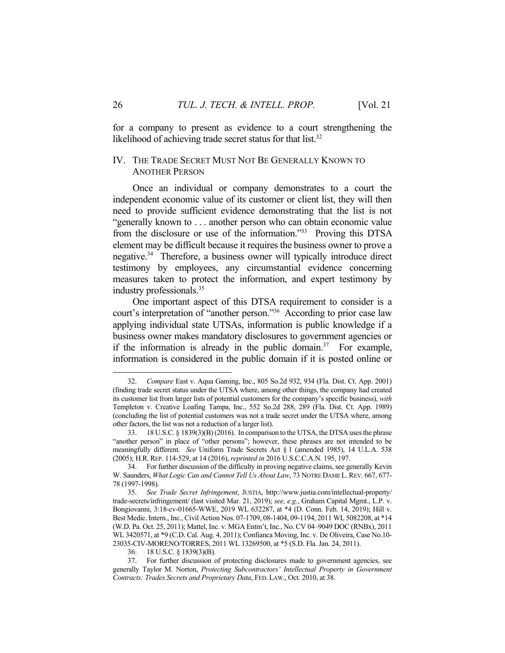for a company to present as evidence to a court strengthening the likelihood of achieving trade secret status for that list. $32$ 

### IV. THE TRADE SECRET MUST NOT BE GENERALLY KNOWN TO ANOTHER PERSON

 Once an individual or company demonstrates to a court the independent economic value of its customer or client list, they will then need to provide sufficient evidence demonstrating that the list is not "generally known to . . . another person who can obtain economic value from the disclosure or use of the information."33 Proving this DTSA element may be difficult because it requires the business owner to prove a negative.34 Therefore, a business owner will typically introduce direct testimony by employees, any circumstantial evidence concerning measures taken to protect the information, and expert testimony by industry professionals.35

 One important aspect of this DTSA requirement to consider is a court's interpretation of "another person."36 According to prior case law applying individual state UTSAs, information is public knowledge if a business owner makes mandatory disclosures to government agencies or if the information is already in the public domain.<sup>37</sup> For example, information is considered in the public domain if it is posted online or

 <sup>32.</sup> *Compare* East v. Aqua Gaming, Inc., 805 So.2d 932, 934 (Fla. Dist. Ct. App. 2001) (finding trade secret status under the UTSA where, among other things, the company had created its customer list from larger lists of potential customers for the company's specific business), *with* Templeton v. Creative Loafing Tampa, Inc., 552 So.2d 288, 289 (Fla. Dist. Ct. App. 1989) (concluding the list of potential customers was not a trade secret under the UTSA where, among other factors, the list was not a reduction of a larger list).

 <sup>33. 18</sup> U.S.C. § 1839(3)(B) (2016). In comparison to the UTSA, the DTSA uses the phrase "another person" in place of "other persons"; however, these phrases are not intended to be meaningfully different. *See* Uniform Trade Secrets Act § 1 (amended 1985), 14 U.L.A. 538 (2005); H.R. REP. 114-529, at 14 (2016), *reprinted in* 2016 U.S.C.C.A.N. 195, 197.

 <sup>34.</sup> For further discussion of the difficulty in proving negative claims, see generally Kevin W. Saunders, *What Logic Can and Cannot Tell Us About Law*, 73 NOTRE DAME L.REV. 667, 677- 78 (1997-1998).

 <sup>35.</sup> *See Trade Secret Infringement*, JUSTIA, http://www.justia.com/intellectual-property/ trade-secrets/infringement/ (last visited Mar. 21, 2019); *see, e.g.*, Graham Capital Mgmt., L.P. v. Bongiovanni, 3:18-cv-01665-WWE, 2019 WL 632287, at \*4 (D. Conn. Feb. 14, 2019); Hill v. Best Medic. Intern., Inc., Civil Action Nos. 07-1709, 08-1404, 09-1194, 2011 WL 5082208, at \*14 (W.D. Pa. Oct. 25, 2011); Mattel, Inc. v. MGA Entm't, Inc., No. CV 04–9049 DOC (RNBx), 2011 WL 3420571, at \*9 (C.D. Cal. Aug. 4, 2011); Confianca Moving, Inc. v. De Oliveira, Case No.10- 23035-CIV-MORENO/TORRES, 2011 WL 13269500, at \*5 (S.D. Fla. Jan. 24, 2011).

 <sup>36. 18</sup> U.S.C. § 1839(3)(B).

 <sup>37.</sup> For further discussion of protecting disclosures made to government agencies, see generally Taylor M. Norton, *Protecting Subcontractors' Intellectual Property in Government Contracts: Trades Secrets and Proprietary Data*, FED. LAW., Oct. 2010, at 38.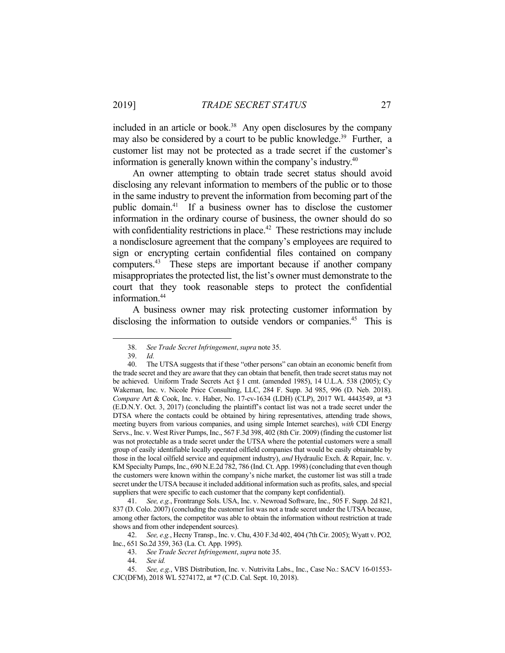included in an article or book.<sup>38</sup> Any open disclosures by the company may also be considered by a court to be public knowledge.<sup>39</sup> Further, a customer list may not be protected as a trade secret if the customer's information is generally known within the company's industry.40

 An owner attempting to obtain trade secret status should avoid disclosing any relevant information to members of the public or to those in the same industry to prevent the information from becoming part of the public domain.41 If a business owner has to disclose the customer information in the ordinary course of business, the owner should do so with confidentiality restrictions in place.<sup>42</sup> These restrictions may include a nondisclosure agreement that the company's employees are required to sign or encrypting certain confidential files contained on company computers.43 These steps are important because if another company misappropriates the protected list, the list's owner must demonstrate to the court that they took reasonable steps to protect the confidential information.<sup>44</sup>

 A business owner may risk protecting customer information by disclosing the information to outside vendors or companies.<sup>45</sup> This is

<u>.</u>

 <sup>38.</sup> *See Trade Secret Infringement*, *supra* note 35.

 <sup>39.</sup> *Id.*

 <sup>40.</sup> The UTSA suggests that if these "other persons" can obtain an economic benefit from the trade secret and they are aware that they can obtain that benefit, then trade secret status may not be achieved. Uniform Trade Secrets Act § 1 cmt. (amended 1985), 14 U.L.A. 538 (2005); Cy Wakeman, Inc. v. Nicole Price Consulting, LLC, 284 F. Supp. 3d 985, 996 (D. Neb. 2018). *Compare* Art & Cook, Inc. v. Haber, No. 17-cv-1634 (LDH) (CLP), 2017 WL 4443549, at \*3 (E.D.N.Y. Oct. 3, 2017) (concluding the plaintiff's contact list was not a trade secret under the DTSA where the contacts could be obtained by hiring representatives, attending trade shows, meeting buyers from various companies, and using simple Internet searches), *with* CDI Energy Servs., Inc. v. West River Pumps, Inc., 567 F.3d 398, 402 (8th Cir. 2009) (finding the customer list was not protectable as a trade secret under the UTSA where the potential customers were a small group of easily identifiable locally operated oilfield companies that would be easily obtainable by those in the local oilfield service and equipment industry), *and* Hydraulic Exch. & Repair, Inc. v. KM Specialty Pumps, Inc., 690 N.E.2d 782, 786 (Ind. Ct. App. 1998) (concluding that even though the customers were known within the company's niche market, the customer list was still a trade secret under the UTSA because it included additional information such as profits, sales, and special suppliers that were specific to each customer that the company kept confidential).

 <sup>41.</sup> *See, e.g.*, Frontrange Sols. USA, Inc. v. Newroad Software, Inc., 505 F. Supp. 2d 821, 837 (D. Colo. 2007) (concluding the customer list was not a trade secret under the UTSA because, among other factors, the competitor was able to obtain the information without restriction at trade shows and from other independent sources).

 <sup>42.</sup> *See, e.g.*, Hecny Transp., Inc. v. Chu, 430 F.3d 402, 404 (7th Cir. 2005); Wyatt v. PO2*,*  Inc., 651 So.2d 359, 363 (La. Ct. App. 1995).

 <sup>43.</sup> *See Trade Secret Infringement*, *supra* note 35.

 <sup>44.</sup> *See id.*

 <sup>45.</sup> *See, e.g.*, VBS Distribution, Inc. v. Nutrivita Labs., Inc., Case No.: SACV 16-01553- CJC(DFM), 2018 WL 5274172, at \*7 (C.D. Cal. Sept. 10, 2018).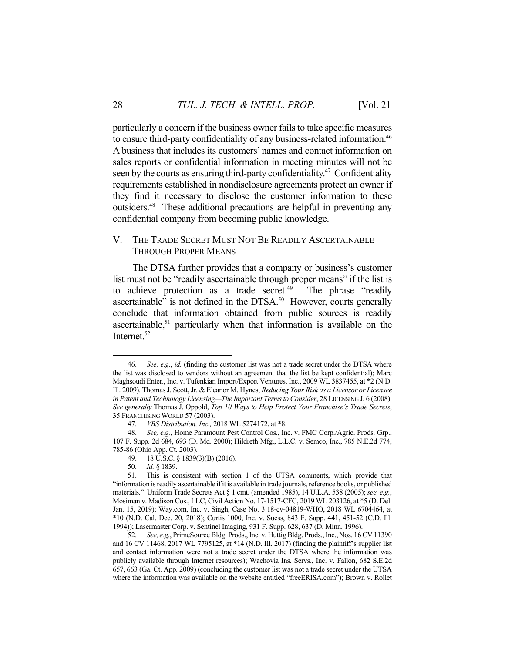particularly a concern if the business owner fails to take specific measures to ensure third-party confidentiality of any business-related information.46 A business that includes its customers' names and contact information on sales reports or confidential information in meeting minutes will not be seen by the courts as ensuring third-party confidentiality.<sup>47</sup> Confidentiality. requirements established in nondisclosure agreements protect an owner if they find it necessary to disclose the customer information to these outsiders.48 These additional precautions are helpful in preventing any confidential company from becoming public knowledge.

## V. THE TRADE SECRET MUST NOT BE READILY ASCERTAINABLE THROUGH PROPER MEANS

 The DTSA further provides that a company or business's customer list must not be "readily ascertainable through proper means" if the list is to achieve protection as a trade secret.<sup>49</sup> The phrase "readily ascertainable" is not defined in the DTSA.<sup>50</sup> However, courts generally conclude that information obtained from public sources is readily ascertainable,<sup>51</sup> particularly when that information is available on the Internet.<sup>52</sup>

 52. *See, e.g.*, PrimeSource Bldg. Prods., Inc. v. Huttig Bldg. Prods., Inc., Nos. 16 CV 11390 and 16 CV 11468, 2017 WL 7795125, at \*14 (N.D. Ill. 2017) (finding the plaintiff's supplier list and contact information were not a trade secret under the DTSA where the information was publicly available through Internet resources); Wachovia Ins. Servs., Inc. v. Fallon, 682 S.E.2d 657, 663 (Ga. Ct. App. 2009) (concluding the customer list was not a trade secret under the UTSA where the information was available on the website entitled "freeERISA.com"); Brown v. Rollet

 <sup>46.</sup> *See, e.g.*, *id.* (finding the customer list was not a trade secret under the DTSA where the list was disclosed to vendors without an agreement that the list be kept confidential); Marc Maghsoudi Enter., Inc. v. Tufenkian Import/Export Ventures, Inc., 2009 WL 3837455, at \*2 (N.D. Ill. 2009). Thomas J. Scott, Jr. & Eleanor M. Hynes, *Reducing Your Risk as a Licensor or Licensee in Patent and Technology Licensing—The Important Terms to Consider*, 28 LICENSING J. 6 (2008). *See generally* Thomas J. Oppold, *Top 10 Ways to Help Protect Your Franchise's Trade Secrets*, 35 FRANCHISING WORLD 57 (2003).

 <sup>47.</sup> *VBS Distribution, Inc.,* 2018 WL 5274172, at \*8.

 <sup>48.</sup> *See, e.g.*, Home Paramount Pest Control Cos., Inc. v. FMC Corp./Agric. Prods. Grp., 107 F. Supp. 2d 684, 693 (D. Md. 2000); Hildreth Mfg., L.L.C. v. Semco, Inc., 785 N.E.2d 774, 785-86 (Ohio App. Ct. 2003).

 <sup>49. 18</sup> U.S.C. § 1839(3)(B) (2016).

 <sup>50.</sup> *Id.* § 1839.

 <sup>51.</sup> This is consistent with section 1 of the UTSA comments, which provide that "information is readily ascertainable if it is available in trade journals, reference books, or published materials." Uniform Trade Secrets Act § 1 cmt. (amended 1985), 14 U.L.A. 538 (2005); *see, e.g.*, Mosiman v. Madison Cos., LLC, Civil Action No. 17-1517-CFC, 2019 WL 203126, at \*5 (D. Del. Jan. 15, 2019); Way.com, Inc. v. Singh, Case No. 3:18-cv-04819-WHO, 2018 WL 6704464, at \*10 (N.D. Cal. Dec. 20, 2018); Curtis 1000, Inc. v. Suess, 843 F. Supp. 441, 451-52 (C.D. Ill. 1994)); Lasermaster Corp. v. Sentinel Imaging, 931 F. Supp. 628, 637 (D. Minn. 1996).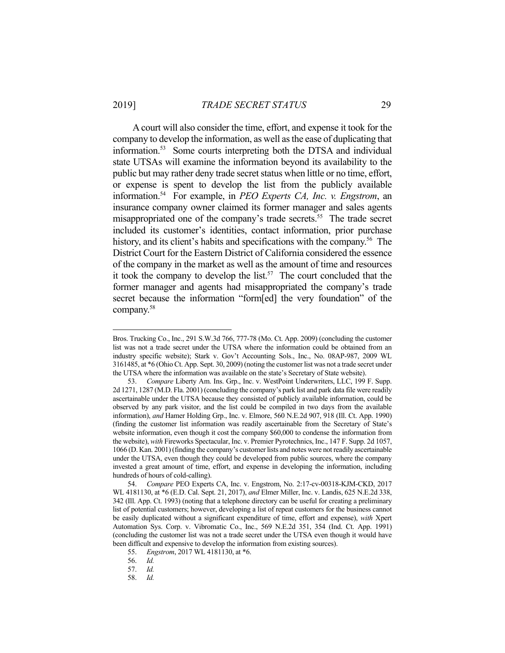1

 A court will also consider the time, effort, and expense it took for the company to develop the information, as well as the ease of duplicating that information.53 Some courts interpreting both the DTSA and individual state UTSAs will examine the information beyond its availability to the public but may rather deny trade secret status when little or no time, effort, or expense is spent to develop the list from the publicly available information.54 For example, in *PEO Experts CA, Inc. v. Engstrom*, an insurance company owner claimed its former manager and sales agents misappropriated one of the company's trade secrets.<sup>55</sup> The trade secret included its customer's identities, contact information, prior purchase history, and its client's habits and specifications with the company.<sup>56</sup> The District Court for the Eastern District of California considered the essence of the company in the market as well as the amount of time and resources it took the company to develop the list.<sup>57</sup> The court concluded that the former manager and agents had misappropriated the company's trade secret because the information "form[ed] the very foundation" of the company.58

Bros. Trucking Co., Inc., 291 S.W.3d 766, 777-78 (Mo. Ct. App. 2009) (concluding the customer list was not a trade secret under the UTSA where the information could be obtained from an industry specific website); Stark v. Gov't Accounting Sols., Inc., No. 08AP-987, 2009 WL 3161485, at \*6 (Ohio Ct. App. Sept. 30, 2009) (noting the customer list was not a trade secret under the UTSA where the information was available on the state's Secretary of State website).

 <sup>53.</sup> *Compare* Liberty Am. Ins. Grp., Inc. v. WestPoint Underwriters, LLC, 199 F. Supp. 2d 1271, 1287 (M.D. Fla. 2001) (concluding the company's park list and park data file were readily ascertainable under the UTSA because they consisted of publicly available information, could be observed by any park visitor, and the list could be compiled in two days from the available information), *and* Hamer Holding Grp., Inc. v. Elmore, 560 N.E.2d 907, 918 (Ill. Ct. App. 1990) (finding the customer list information was readily ascertainable from the Secretary of State's website information, even though it cost the company \$60,000 to condense the information from the website), *with* Fireworks Spectacular, Inc. v. Premier Pyrotechnics, Inc., 147 F. Supp. 2d 1057, 1066 (D. Kan. 2001) (finding the company's customer lists and notes were not readily ascertainable under the UTSA, even though they could be developed from public sources, where the company invested a great amount of time, effort, and expense in developing the information, including hundreds of hours of cold-calling).

 <sup>54.</sup> *Compare* PEO Experts CA, Inc. v. Engstrom, No. 2:17-cv-00318-KJM-CKD, 2017 WL 4181130, at \*6 (E.D. Cal. Sept. 21, 2017), *and* Elmer Miller, Inc. v. Landis, 625 N.E.2d 338, 342 (Ill. App. Ct. 1993) (noting that a telephone directory can be useful for creating a preliminary list of potential customers; however, developing a list of repeat customers for the business cannot be easily duplicated without a significant expenditure of time, effort and expense), *with* Xpert Automation Sys. Corp. v. Vibromatic Co., Inc., 569 N.E.2d 351, 354 (Ind. Ct. App. 1991) (concluding the customer list was not a trade secret under the UTSA even though it would have been difficult and expensive to develop the information from existing sources).

 <sup>55.</sup> *Engstrom*, 2017 WL 4181130, at \*6.

 <sup>56.</sup> *Id.*

 <sup>57.</sup> *Id.*

 <sup>58.</sup> *Id.*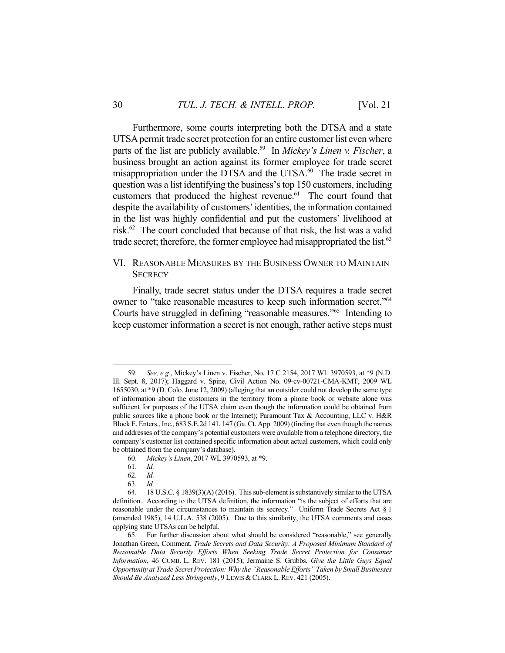Furthermore, some courts interpreting both the DTSA and a state UTSA permit trade secret protection for an entire customer list even where parts of the list are publicly available.<sup>59</sup> In *Mickey's Linen v. Fischer*, a business brought an action against its former employee for trade secret misappropriation under the DTSA and the UTSA.<sup>60</sup> The trade secret in question was a list identifying the business's top 150 customers, including customers that produced the highest revenue.<sup>61</sup> The court found that despite the availability of customers' identities, the information contained in the list was highly confidential and put the customers' livelihood at risk.62 The court concluded that because of that risk, the list was a valid trade secret; therefore, the former employee had misappropriated the list.<sup>63</sup>

## VI. REASONABLE MEASURES BY THE BUSINESS OWNER TO MAINTAIN **SECRECY**

 Finally, trade secret status under the DTSA requires a trade secret owner to "take reasonable measures to keep such information secret."64 Courts have struggled in defining "reasonable measures."65 Intending to keep customer information a secret is not enough, rather active steps must

<u>.</u>

 <sup>59.</sup> *See, e.g.*, Mickey's Linen v. Fischer, No. 17 C 2154, 2017 WL 3970593, at \*9 (N.D. Ill. Sept. 8, 2017); Haggard v. Spine, Civil Action No. 09-cv-00721-CMA-KMT, 2009 WL 1655030, at \*9 (D. Colo. June 12, 2009) (alleging that an outsider could not develop the same type of information about the customers in the territory from a phone book or website alone was sufficient for purposes of the UTSA claim even though the information could be obtained from public sources like a phone book or the Internet); Paramount Tax & Accounting, LLC v. H&R Block E. Enters., Inc., 683 S.E.2d 141, 147 (Ga. Ct. App. 2009) (finding that even though the names and addresses of the company's potential customers were available from a telephone directory, the company's customer list contained specific information about actual customers, which could only be obtained from the company's database).

 <sup>60.</sup> *Mickey's Linen*, 2017 WL 3970593, at \*9.

 <sup>61.</sup> *Id.*

 <sup>62.</sup> *Id.*

 <sup>63.</sup> *Id.*

 <sup>64. 18</sup> U.S.C. § 1839(3)(A) (2016). This sub-element is substantively similar to the UTSA definition. According to the UTSA definition, the information "is the subject of efforts that are reasonable under the circumstances to maintain its secrecy." Uniform Trade Secrets Act § 1 (amended 1985), 14 U.L.A. 538 (2005). Due to this similarity, the UTSA comments and cases applying state UTSAs can be helpful.

 <sup>65.</sup> For further discussion about what should be considered "reasonable," see generally Jonathan Green, Comment, *Trade Secrets and Data Security: A Proposed Minimum Standard of Reasonable Data Security Efforts When Seeking Trade Secret Protection for Consumer Information*, 46 CUMB. L. REV. 181 (2015); Jermaine S. Grubbs, *Give the Little Guys Equal Opportunity at Trade Secret Protection: Why the "Reasonable Efforts" Taken by Small Businesses*  Should Be Analyzed Less Stringently, 9 LEWIS & CLARK L. REV. 421 (2005).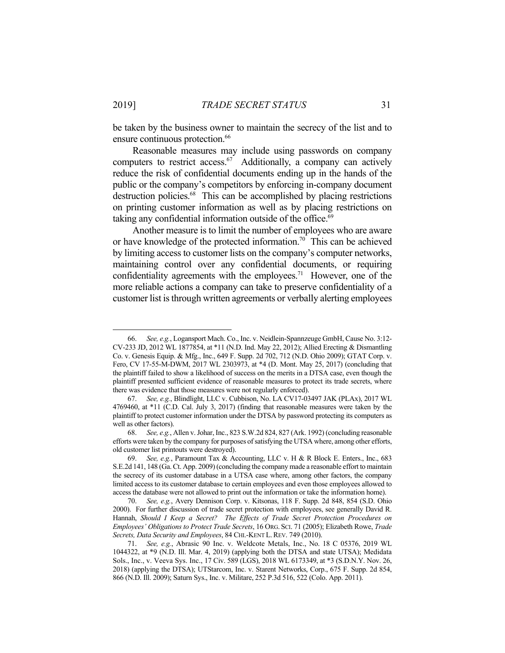be taken by the business owner to maintain the secrecy of the list and to ensure continuous protection.<sup>66</sup>

 Reasonable measures may include using passwords on company computers to restrict access.<sup>67</sup> Additionally, a company can actively reduce the risk of confidential documents ending up in the hands of the public or the company's competitors by enforcing in-company document destruction policies.<sup>68</sup> This can be accomplished by placing restrictions on printing customer information as well as by placing restrictions on taking any confidential information outside of the office.<sup>69</sup>

 Another measure is to limit the number of employees who are aware or have knowledge of the protected information.<sup>70</sup> This can be achieved by limiting access to customer lists on the company's computer networks, maintaining control over any confidential documents, or requiring confidentiality agreements with the employees.<sup>71</sup> However, one of the more reliable actions a company can take to preserve confidentiality of a customer list is through written agreements or verbally alerting employees

 <sup>66.</sup> *See, e.g.*, Logansport Mach. Co., Inc. v. Neidlein-Spannzeuge GmbH, Cause No. 3:12- CV-233 JD, 2012 WL 1877854, at \*11 (N.D. Ind. May 22, 2012); Allied Erecting & Dismantling Co. v. Genesis Equip. & Mfg., Inc., 649 F. Supp. 2d 702, 712 (N.D. Ohio 2009); GTAT Corp. v. Fero, CV 17-55-M-DWM, 2017 WL 2303973, at \*4 (D. Mont. May 25, 2017) (concluding that the plaintiff failed to show a likelihood of success on the merits in a DTSA case, even though the plaintiff presented sufficient evidence of reasonable measures to protect its trade secrets, where there was evidence that those measures were not regularly enforced).

 <sup>67.</sup> *See, e.g.*, Blindlight, LLC v. Cubbison, No. LA CV17-03497 JAK (PLAx), 2017 WL 4769460, at \*11 (C.D. Cal. July 3, 2017) (finding that reasonable measures were taken by the plaintiff to protect customer information under the DTSA by password protecting its computers as well as other factors).

 <sup>68.</sup> *See, e.g.*, Allen v. Johar, Inc., 823 S.W.2d 824, 827 (Ark. 1992) (concluding reasonable efforts were taken by the company for purposes of satisfying the UTSA where, among other efforts, old customer list printouts were destroyed).

 <sup>69.</sup> *See, e.g.*, Paramount Tax & Accounting, LLC v. H & R Block E. Enters., Inc., 683 S.E.2d 141, 148 (Ga. Ct. App. 2009) (concluding the company made a reasonable effort to maintain the secrecy of its customer database in a UTSA case where, among other factors, the company limited access to its customer database to certain employees and even those employees allowed to access the database were not allowed to print out the information or take the information home).

 <sup>70.</sup> *See, e.g.*, Avery Dennison Corp. v. Kitsonas, 118 F. Supp. 2d 848, 854 (S.D. Ohio 2000). For further discussion of trade secret protection with employees, see generally David R. Hannah, *Should I Keep a Secret? The Effects of Trade Secret Protection Procedures on Employees' Obligations to Protect Trade Secrets*, 16 ORG. SCI. 71 (2005); Elizabeth Rowe, *Trade Secrets, Data Security and Employees*, 84 CHI.-KENT L.REV. 749 (2010).

 <sup>71.</sup> *See, e.g.*, Abrasic 90 Inc. v. Weldcote Metals, Inc., No. 18 C 05376, 2019 WL 1044322, at \*9 (N.D. Ill. Mar. 4, 2019) (applying both the DTSA and state UTSA); Medidata Sols., Inc., v. Veeva Sys. Inc., 17 Civ. 589 (LGS), 2018 WL 6173349, at \*3 (S.D.N.Y. Nov. 26, 2018) (applying the DTSA); UTStarcom, Inc. v. Starent Networks, Corp., 675 F. Supp. 2d 854, 866 (N.D. Ill. 2009); Saturn Sys., Inc. v. Militare, 252 P.3d 516, 522 (Colo. App. 2011).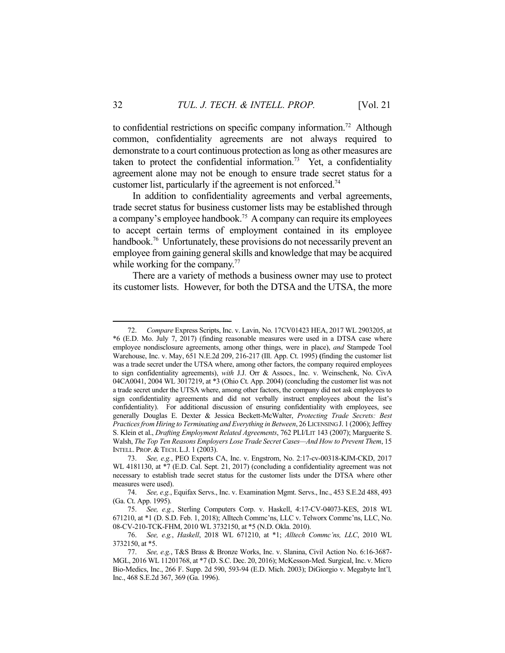to confidential restrictions on specific company information.72 Although common, confidentiality agreements are not always required to demonstrate to a court continuous protection as long as other measures are taken to protect the confidential information.<sup>73</sup> Yet, a confidentiality agreement alone may not be enough to ensure trade secret status for a customer list, particularly if the agreement is not enforced.<sup>74</sup>

 In addition to confidentiality agreements and verbal agreements, trade secret status for business customer lists may be established through a company's employee handbook.75 A company can require its employees to accept certain terms of employment contained in its employee handbook.<sup>76</sup> Unfortunately, these provisions do not necessarily prevent an employee from gaining general skills and knowledge that may be acquired while working for the company.<sup>77</sup>

 There are a variety of methods a business owner may use to protect its customer lists. However, for both the DTSA and the UTSA, the more

 <sup>72.</sup> *Compare* Express Scripts, Inc. v. Lavin, No. 17CV01423 HEA, 2017 WL 2903205, at \*6 (E.D. Mo. July 7, 2017) (finding reasonable measures were used in a DTSA case where employee nondisclosure agreements, among other things, were in place), *and* Stampede Tool Warehouse, Inc. v. May, 651 N.E.2d 209, 216-217 (Ill. App. Ct. 1995) **(**finding the customer list was a trade secret under the UTSA where, among other factors, the company required employees to sign confidentiality agreements), *with* J.J. Orr & Assocs., Inc. v. Weinschenk, No. CivA 04CA0041, 2004 WL 3017219, at \*3 (Ohio Ct. App. 2004) (concluding the customer list was not a trade secret under the UTSA where, among other factors, the company did not ask employees to sign confidentiality agreements and did not verbally instruct employees about the list's confidentiality). For additional discussion of ensuring confidentiality with employees, see generally Douglas E. Dexter & Jessica Beckett-McWalter, *Protecting Trade Secrets: Best Practices from Hiring to Terminating and Everything in Between*, 26 LICENSING J. 1 (2006); Jeffrey S. Klein et al., *Drafting Employment Related Agreements*, 762 PLI/LIT 143 (2007); Marguerite S. Walsh, *The Top Ten Reasons Employers Lose Trade Secret Cases—And How to Prevent Them*, 15 INTELL. PROP. & TECH. L.J. 1 (2003).

 <sup>73.</sup> *See, e.g.*, PEO Experts CA, Inc. v. Engstrom, No. 2:17-cv-00318-KJM-CKD, 2017 WL 4181130, at \*7 (E.D. Cal. Sept. 21, 2017) (concluding a confidentiality agreement was not necessary to establish trade secret status for the customer lists under the DTSA where other measures were used).

 <sup>74.</sup> *See, e.g.*, Equifax Servs., Inc. v. Examination Mgmt. Servs., Inc., 453 S.E.2d 488, 493 (Ga. Ct. App. 1995).

 <sup>75.</sup> *See, e.g.*, Sterling Computers Corp. v. Haskell, 4:17-CV-04073-KES, 2018 WL 671210, at \*1 (D. S.D. Feb. 1, 2018); Alltech Commc'ns, LLC v. Telworx Commc'ns, LLC, No. 08-CV-210-TCK-FHM, 2010 WL 3732150, at \*5 (N.D. Okla. 2010).

 <sup>76.</sup> *See, e.g.*, *Haskell*, 2018 WL 671210, at \*1; *Alltech Commc'ns, LLC*, 2010 WL 3732150, at \*5.

 <sup>77.</sup> *See, e.g.*, T&S Brass & Bronze Works, Inc. v. Slanina, Civil Action No. 6:16-3687- MGL, 2016 WL 11201768, at \*7 (D. S.C. Dec. 20, 2016); McKesson-Med. Surgical, Inc. v. Micro Bio-Medics, Inc., 266 F. Supp. 2d 590, 593-94 (E.D. Mich. 2003); DiGiorgio v. Megabyte Int'l*,*  Inc., 468 S.E.2d 367, 369 (Ga. 1996).